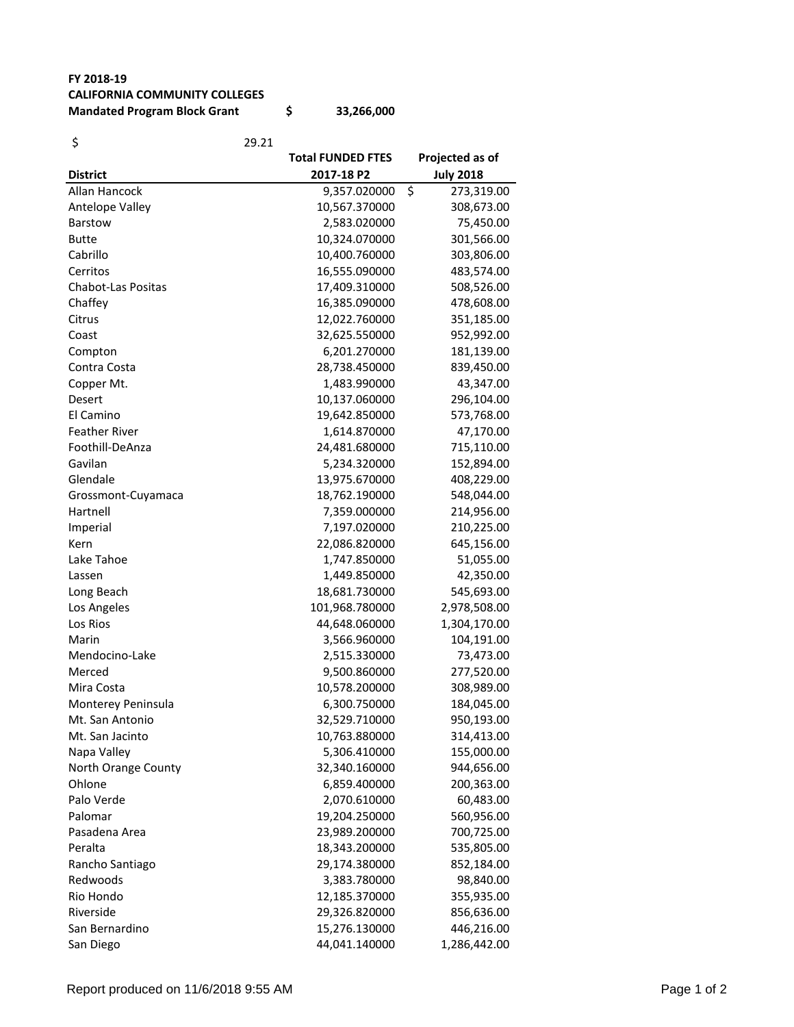## **FY 2018-19 CALIFORNIA COMMUNITY COLLEGES**

**Mandated Program Block Grant \$ 33,266,000**

| \$                        | 29.21                    |                  |
|---------------------------|--------------------------|------------------|
|                           | <b>Total FUNDED FTES</b> | Projected as of  |
| <b>District</b>           | 2017-18 P2               | <b>July 2018</b> |
| Allan Hancock             | 9,357.020000             | \$<br>273,319.00 |
| Antelope Valley           | 10,567.370000            | 308,673.00       |
| <b>Barstow</b>            | 2,583.020000             | 75,450.00        |
| <b>Butte</b>              | 10,324.070000            | 301,566.00       |
| Cabrillo                  | 10,400.760000            | 303,806.00       |
| Cerritos                  | 16,555.090000            | 483,574.00       |
| <b>Chabot-Las Positas</b> | 17,409.310000            | 508,526.00       |
| Chaffey                   | 16,385.090000            | 478,608.00       |
| Citrus                    | 12,022.760000            | 351,185.00       |
| Coast                     | 32,625.550000            | 952,992.00       |
| Compton                   | 6,201.270000             | 181,139.00       |
| Contra Costa              | 28,738.450000            | 839,450.00       |
| Copper Mt.                | 1,483.990000             | 43,347.00        |
| Desert                    | 10,137.060000            | 296,104.00       |
| El Camino                 | 19,642.850000            | 573,768.00       |
| <b>Feather River</b>      | 1,614.870000             | 47,170.00        |
| Foothill-DeAnza           | 24,481.680000            | 715,110.00       |
| Gavilan                   | 5,234.320000             | 152,894.00       |
| Glendale                  | 13,975.670000            | 408,229.00       |
| Grossmont-Cuyamaca        | 18,762.190000            | 548,044.00       |
| Hartnell                  | 7,359.000000             | 214,956.00       |
| Imperial                  | 7,197.020000             | 210,225.00       |
| Kern                      | 22,086.820000            | 645,156.00       |
| Lake Tahoe                | 1,747.850000             | 51,055.00        |
| Lassen                    | 1,449.850000             | 42,350.00        |
| Long Beach                | 18,681.730000            | 545,693.00       |
| Los Angeles               | 101,968.780000           | 2,978,508.00     |
| Los Rios                  | 44,648.060000            | 1,304,170.00     |
| Marin                     | 3,566.960000             | 104,191.00       |
| Mendocino-Lake            | 2,515.330000             | 73,473.00        |
| Merced                    | 9,500.860000             | 277,520.00       |
| Mira Costa                | 10,578.200000            | 308,989.00       |
| Monterey Peninsula        | 6,300.750000             | 184,045.00       |
| Mt. San Antonio           | 32,529.710000            | 950,193.00       |
| Mt. San Jacinto           | 10,763.880000            | 314,413.00       |
| Napa Valley               | 5,306.410000             | 155,000.00       |
| North Orange County       | 32,340.160000            | 944,656.00       |
| Ohlone                    | 6,859.400000             | 200,363.00       |
| Palo Verde                | 2,070.610000             | 60,483.00        |
| Palomar                   | 19,204.250000            | 560,956.00       |
| Pasadena Area             | 23,989.200000            | 700,725.00       |
| Peralta                   | 18,343.200000            | 535,805.00       |
| Rancho Santiago           | 29,174.380000            | 852,184.00       |
| Redwoods                  | 3,383.780000             | 98,840.00        |
| Rio Hondo                 | 12,185.370000            | 355,935.00       |
| Riverside                 | 29,326.820000            | 856,636.00       |
| San Bernardino            | 15,276.130000            | 446,216.00       |
| San Diego                 | 44,041.140000            | 1,286,442.00     |
|                           |                          |                  |